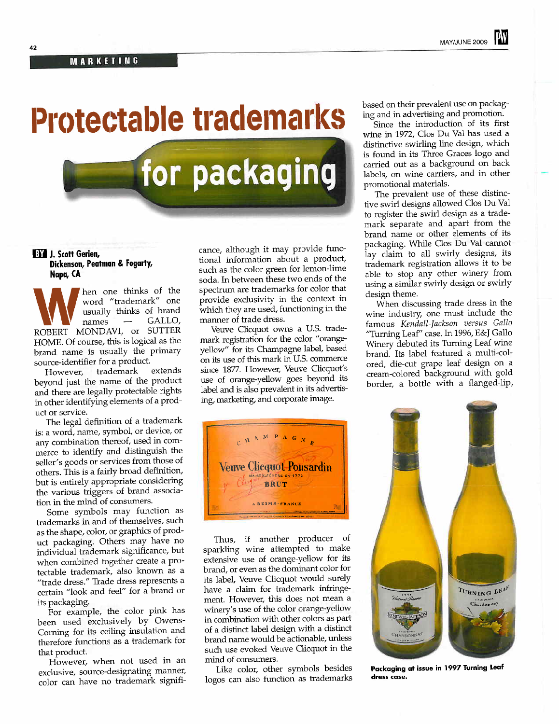## Protectable trademarks

**BY J. Scott Gerien,** Dickenson, Peatman & Fogarty, Napa, CA

hen one thinks of the word "trademark" one usually thinks of brand<br>names - GALLO,  $\Gamma$ names — GALLO, ROBERT MONDAVI, or SUTTER HOME. Of course, this is logical as the brand name is usually the primary source-identifier for a product.<br>However, trademark extends

However, trademark extends beyond just the name of the product and there are legally protectable rights in other identifying elements of a product or service.

The legal defintion of a trademark is: a word, name, symbol, or device, or any combination thereof, used in commerce to identify and distinguish the seller's goods or services from those of others. This is a fairly broad definition, but is entirely appropriate considering the various triggers of brand association in the mid of consumers.

Some symbols may function as trademarks in and of themselves, such as the shape, color, or graphics of product packaging. Others may have no individual trademark significance, but when combined together create a protectable trademark, also known as a "trade dress." Trade dress represents a certain "look and feel" for a brand or its packaging.

For example, the color pink has been used exclusively by Owens-Corning for its ceiling insulation and therefore functions as a trademark for that product.

However, when not used in an exclusive, source-designating manner, color can have no trademark signficance, although it may provide functional information about a product, such as the color green for lemon-lime soda. In between these two ends of the spectrum are trademarks for color that provide exclusivity in the context in which they are used, functioning in the manner of trade dress.

for packaging

Veuve Clicquot owns a U.S. trademark registration for the color "orangeyellow" for its Champagne label, based on its use of this mark in U.S. commerce since 1877. However, Veuve Clicquot's use of orange-yellow goes beyond its label and is also prevalent in its advertising, marketing, and corporate image.



Thus, if another producer of sparkling wine attempted to make extensive use of orange-yellow for its brand, or even as the domiant color for its label, Veuve Clicquot would surely have a claim for trademark infringement. However, this does not mean a winery's use of the color orange-yellow in combination with other colors as part of a distinct label design with a distinct brand name would be actionable, unless such use evoked Veuve Clicquot in the mid of consumers.

Like color, other symbols besides logos can also function as trademarks

based on their prevalent use on packaging and in advertising and promotion.

Since the introduction of its first wine in 1972, Clos Du Val has used a distinctive swirling line design, which is found in its Three Graces logo and carried out as a background on back labels, on wine carriers, and in other promotional materials.

The prevalent use of these distinctive swirl designs allowed Clos Du Val to register the swirl design as a trademark separate and apart from the brand name or other elements of its packaging. Whle Clos Du Val canot lay claim to all swirly designs, its trademark registration allows it to be able to stop any other winery from using a similar swirly design or swirly design theme.

When discussing trade dress in the wine industry, one must include the famous Kendall-Jackson versus Gallo "Turning Leaf" case. In 1996, E&J Gallo Winery debuted its Turning Leaf wine brand. Its label featured a multi-colored, die-cut grape leaf design on a cream-colored background with gold border, a bottle with a flanged-lip,



Packaging at issue in 1997 Turning Leaf dress case.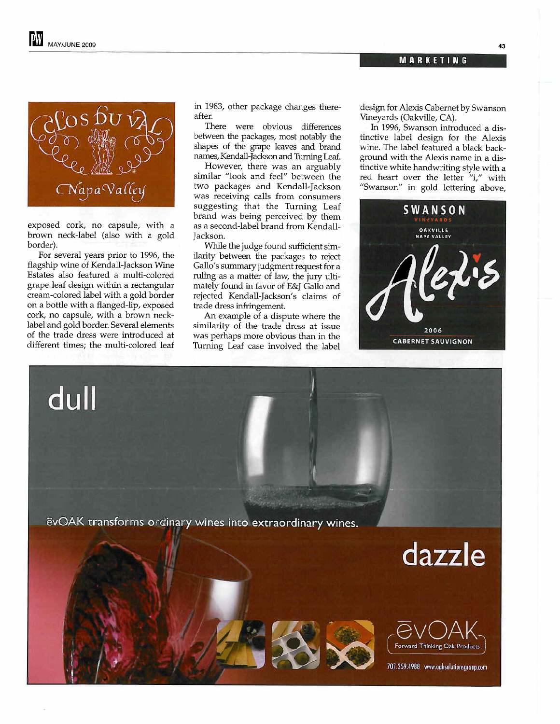-



exposed cork, no capsule, with a brown neck-label (also with a gold border).

For several years prior to 1996, the flagship wine of Kendall-Jackson Wine Estates also featured a multi-colored grape leaf design within a rectangular cream-colored label with a gold border on a bottle with a flanged-lip, exposed cork, no capsule, with a brown necklabel and gold border. Several elements of the trade dress were introduced at different times; the multi-colored leaf

dull

in 1983, other package changes thereafter.

There were obvious diferences between the packages, most notably the shapes of the grape leaves and brand names, Kendall-Jackson and Turning Leaf.

However, there was an arguably similar "look and feel" between the two packages and Kendall-Jackson was receiving calls from consumers suggesting that the Turning Leaf brand was being perceived by them as a second-label brand from Kendall-Jackson.

While the judge found sufficient similarity between the packages to reject Gallo's summary judgment request for a ruling as a matter of law, the jury ultimately found in favor of E&J Gallo and rejected Kendall-Jackson's claims of trade dress infringement.

An example of a dispute where the similarity of the trade dress at issue was perhaps more obvious than in the Turnig Leaf case involved the label design for Alexis Cabemet by Swanson Vineyards (Oakvile, CA).

In 1996, Swanson introduced a distinctive label design for the Alexis wine. The label featured a black background with the Alexis name in a distinctive white handwriting style with a red heart over the letter "i," with "Swanson" in gold lettering above,



ëvOAK transforms ordinary wines into extraordinary wines.

dazzle



707.259.4988 www.oaksolutionsgroup.com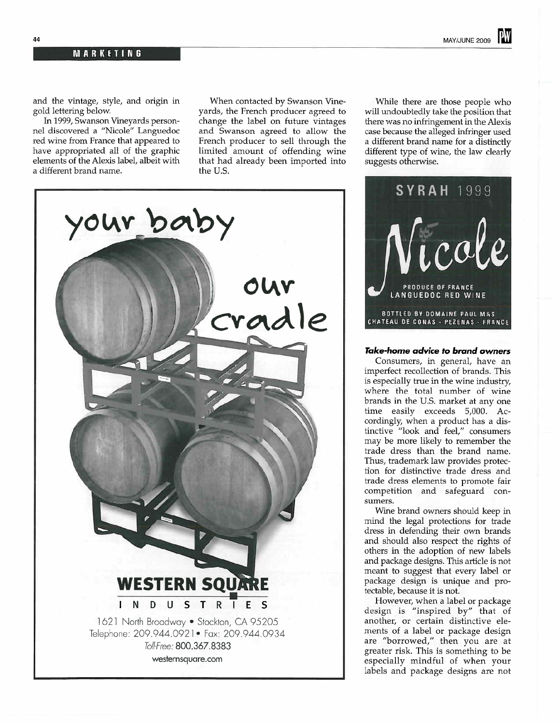and the vintage, style, and origin in gold lettering below.

In 1999, Swanson Vineyards personnel discovered a "Nicole" Languedoc red wine from France that appeared to have appropriated all of the graphic elements of the Alexis label, albeit with a different brand name.

When contacted by Swanson Vineyards, the French producer agreed to change the label on future vintages and Swanson agreed to allow the French producer to sell through the limited amount of offending wine that had already been imported into the U.S.

Whle there are those people who will undoubtedly take the position that there was no infringement in the Alexis case because the alleged infringer used a different brand name for a distinctly different type of wine, the law clearly suggests otherwise.



LANGUEDOC RED WINE BOTTLED BY DOMAINE PAUL MAS CHATEAU DE CONAS - PEZENAS - FRANCE

## Take-home advice to brand owners

Consumers, in general, have an imperfect recollection of brands. This is especially true in the wine industry, where the total number of wine brands in the U.S. market at anyone time easily exceeds 5,000. Accordingly, when a product has a distinctive "look and feel," consumers may be more likely to remember the trade dress than the brand name. Thus, trademark law provides protection for distinctive trade dress and trade dress elements to promote fair competition and safeguard con-

Wine brand owners should keep in mid the legal protections for trade dress in defending their own brands and should also respect the rights of others in the adoption of new labels and package designs. This article is not meant to suggest that every label or package design is unique and protectable, because it is not.

However, when a label or package design is "inspired by" that of another, or certain distinctive elements of a label or package design are "borrowed," then you are at greater risk. This is something to be especially mindful of when your labels and package designs are not